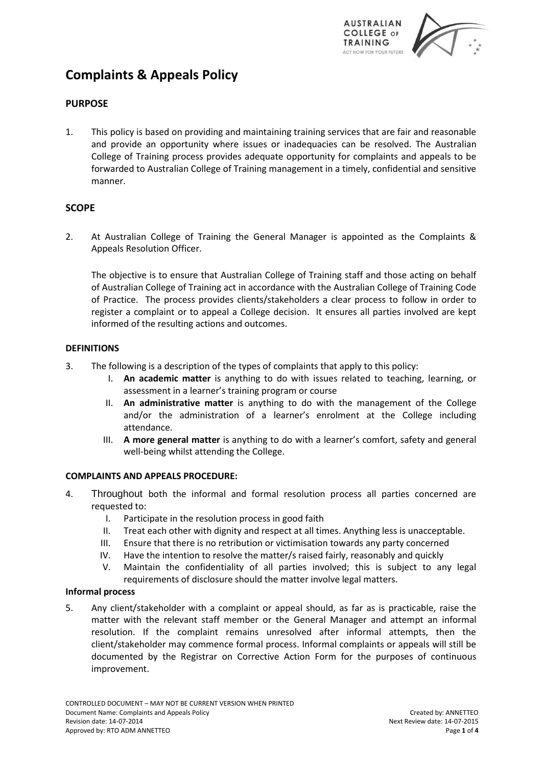

# **Complaints & Appeals Policy**

## **PURPOSE**

1. This policy is based on providing and maintaining training services that are fair and reasonable and provide an opportunity where issues or inadequacies can be resolved. The Australian College of Training process provides adequate opportunity for complaints and appeals to be forwarded to Australian College of Training management in a timely, confidential and sensitive manner.

## **SCOPE**

2. At Australian College of Training the General Manager is appointed as the Complaints & Appeals Resolution Officer.

The objective is to ensure that Australian College of Training staff and those acting on behalf of Australian College of Training act in accordance with the Australian College of Training Code of Practice. The process provides clients/stakeholders a clear process to follow in order to register a complaint or to appeal a College decision. It ensures all parties involved are kept informed of the resulting actions and outcomes.

## **DEFINITIONS**

- 3. The following is a description of the types of complaints that apply to this policy:
	- I. **An academic matter** is anything to do with issues related to teaching, learning, or assessment in a learner's training program or course
	- II. **An administrative matter** is anything to do with the management of the College and/or the administration of a learner's enrolment at the College including attendance.
	- III. **A more general matter** is anything to do with a learner's comfort, safety and general well-being whilst attending the College.

## **COMPLAINTS AND APPEALS PROCEDURE:**

- 4. Throughout both the informal and formal resolution process all parties concerned are requested to:
	- I. Participate in the resolution process in good faith
	- II. Treat each other with dignity and respect at all times. Anything less is unacceptable.
	- III. Ensure that there is no retribution or victimisation towards any party concerned
	- IV. Have the intention to resolve the matter/s raised fairly, reasonably and quickly
	- V. Maintain the confidentiality of all parties involved; this is subject to any legal requirements of disclosure should the matter involve legal matters.

## **Informal process**

5. Any client/stakeholder with a complaint or appeal should, as far as is practicable, raise the matter with the relevant staff member or the General Manager and attempt an informal resolution. If the complaint remains unresolved after informal attempts, then the client/stakeholder may commence formal process. Informal complaints or appeals will still be documented by the Registrar on Corrective Action Form for the purposes of continuous improvement.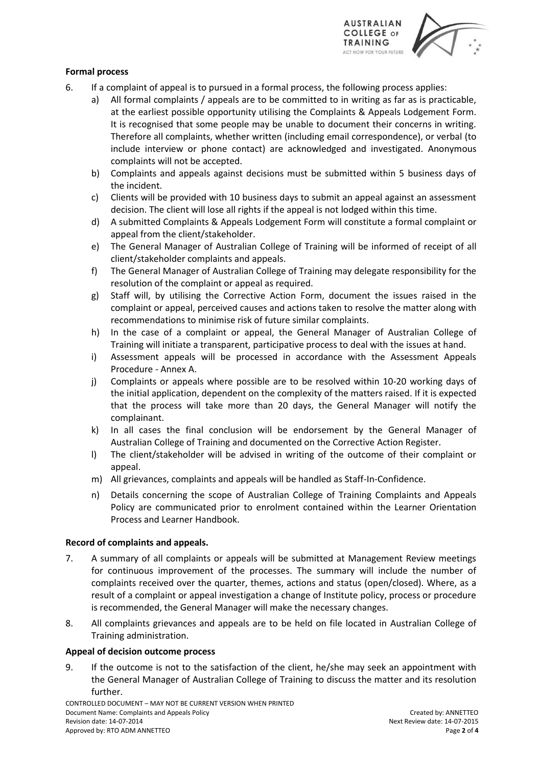

## **Formal process**

- 6. If a complaint of appeal is to pursued in a formal process, the following process applies:
	- a) All formal complaints / appeals are to be committed to in writing as far as is practicable, at the earliest possible opportunity utilising the Complaints & Appeals Lodgement Form. It is recognised that some people may be unable to document their concerns in writing. Therefore all complaints, whether written (including email correspondence), or verbal (to include interview or phone contact) are acknowledged and investigated. Anonymous complaints will not be accepted.
	- b) Complaints and appeals against decisions must be submitted within 5 business days of the incident.
	- c) Clients will be provided with 10 business days to submit an appeal against an assessment decision. The client will lose all rights if the appeal is not lodged within this time.
	- d) A submitted Complaints & Appeals Lodgement Form will constitute a formal complaint or appeal from the client/stakeholder.
	- e) The General Manager of Australian College of Training will be informed of receipt of all client/stakeholder complaints and appeals.
	- f) The General Manager of Australian College of Training may delegate responsibility for the resolution of the complaint or appeal as required.
	- g) Staff will, by utilising the Corrective Action Form, document the issues raised in the complaint or appeal, perceived causes and actions taken to resolve the matter along with recommendations to minimise risk of future similar complaints.
	- h) In the case of a complaint or appeal, the General Manager of Australian College of Training will initiate a transparent, participative process to deal with the issues at hand.
	- i) Assessment appeals will be processed in accordance with the Assessment Appeals Procedure - Annex A.
	- j) Complaints or appeals where possible are to be resolved within 10-20 working days of the initial application, dependent on the complexity of the matters raised. If it is expected that the process will take more than 20 days, the General Manager will notify the complainant.
	- k) In all cases the final conclusion will be endorsement by the General Manager of Australian College of Training and documented on the Corrective Action Register.
	- l) The client/stakeholder will be advised in writing of the outcome of their complaint or appeal.
	- m) All grievances, complaints and appeals will be handled as Staff-In-Confidence.
	- n) Details concerning the scope of Australian College of Training Complaints and Appeals Policy are communicated prior to enrolment contained within the Learner Orientation Process and Learner Handbook.

## **Record of complaints and appeals.**

- 7. A summary of all complaints or appeals will be submitted at Management Review meetings for continuous improvement of the processes. The summary will include the number of complaints received over the quarter, themes, actions and status (open/closed). Where, as a result of a complaint or appeal investigation a change of Institute policy, process or procedure is recommended, the General Manager will make the necessary changes.
- 8. All complaints grievances and appeals are to be held on file located in Australian College of Training administration.

## **Appeal of decision outcome process**

9. If the outcome is not to the satisfaction of the client, he/she may seek an appointment with the General Manager of Australian College of Training to discuss the matter and its resolution further.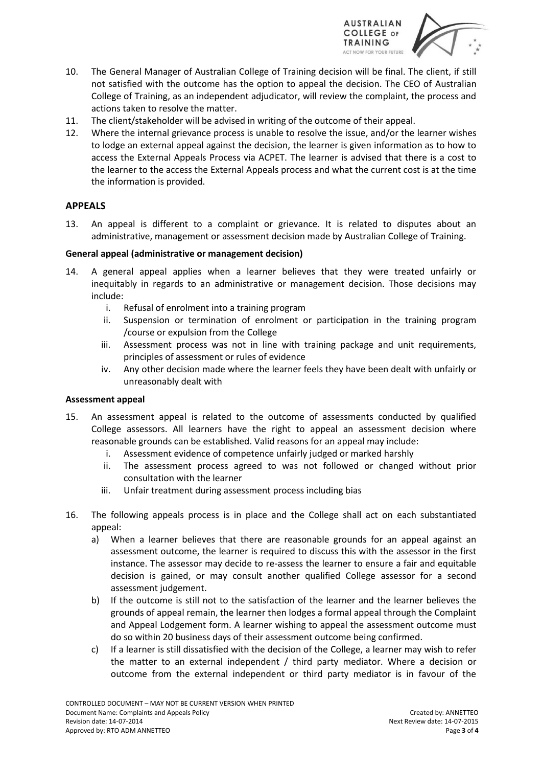

- 10. The General Manager of Australian College of Training decision will be final. The client, if still not satisfied with the outcome has the option to appeal the decision. The CEO of Australian College of Training, as an independent adjudicator, will review the complaint, the process and actions taken to resolve the matter.
- 11. The client/stakeholder will be advised in writing of the outcome of their appeal.
- 12. Where the internal grievance process is unable to resolve the issue, and/or the learner wishes to lodge an external appeal against the decision, the learner is given information as to how to access the External Appeals Process via ACPET. The learner is advised that there is a cost to the learner to the access the External Appeals process and what the current cost is at the time the information is provided.

## **APPEALS**

13. An appeal is different to a complaint or grievance. It is related to disputes about an administrative, management or assessment decision made by Australian College of Training.

## **General appeal (administrative or management decision)**

- 14. A general appeal applies when a learner believes that they were treated unfairly or inequitably in regards to an administrative or management decision. Those decisions may include:
	- i. Refusal of enrolment into a training program
	- ii. Suspension or termination of enrolment or participation in the training program /course or expulsion from the College
	- iii. Assessment process was not in line with training package and unit requirements, principles of assessment or rules of evidence
	- iv. Any other decision made where the learner feels they have been dealt with unfairly or unreasonably dealt with

## **Assessment appeal**

- 15. An assessment appeal is related to the outcome of assessments conducted by qualified College assessors. All learners have the right to appeal an assessment decision where reasonable grounds can be established. Valid reasons for an appeal may include:
	- i. Assessment evidence of competence unfairly judged or marked harshly
	- ii. The assessment process agreed to was not followed or changed without prior consultation with the learner
	- iii. Unfair treatment during assessment process including bias
- 16. The following appeals process is in place and the College shall act on each substantiated appeal:
	- a) When a learner believes that there are reasonable grounds for an appeal against an assessment outcome, the learner is required to discuss this with the assessor in the first instance. The assessor may decide to re-assess the learner to ensure a fair and equitable decision is gained, or may consult another qualified College assessor for a second assessment judgement.
	- b) If the outcome is still not to the satisfaction of the learner and the learner believes the grounds of appeal remain, the learner then lodges a formal appeal through the Complaint and Appeal Lodgement form. A learner wishing to appeal the assessment outcome must do so within 20 business days of their assessment outcome being confirmed.
	- c) If a learner is still dissatisfied with the decision of the College, a learner may wish to refer the matter to an external independent / third party mediator. Where a decision or outcome from the external independent or third party mediator is in favour of the